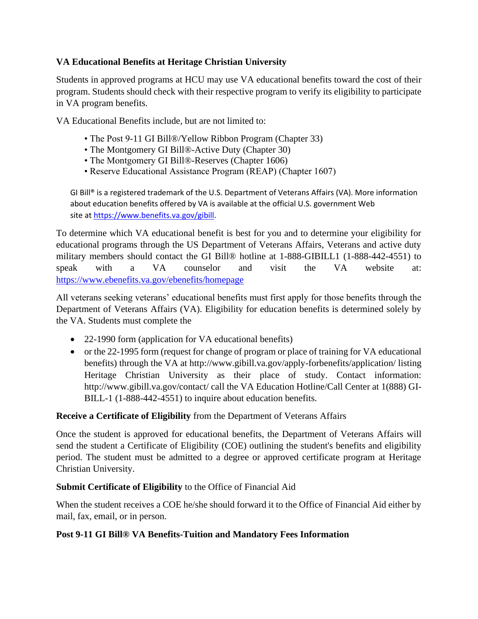# **VA Educational Benefits at Heritage Christian University**

Students in approved programs at HCU may use VA educational benefits toward the cost of their program. Students should check with their respective program to verify its eligibility to participate in VA program benefits.

VA Educational Benefits include, but are not limited to:

- The Post 9-11 GI Bill®/Yellow Ribbon Program (Chapter 33)
- The Montgomery GI Bill®-Active Duty (Chapter 30)
- The Montgomery GI Bill®-Reserves (Chapter 1606)
- Reserve Educational Assistance Program (REAP) (Chapter 1607)

GI Bill® is a registered trademark of the U.S. Department of Veterans Affairs (VA). More information about education benefits offered by VA is available at the official U.S. government Web site at [https://www.benefits.va.gov/gibill.](https://www.benefits.va.gov/gibill)

To determine which VA educational benefit is best for you and to determine your eligibility for educational programs through the US Department of Veterans Affairs, Veterans and active duty military members should contact the GI Bill® hotline at 1-888-GIBILL1 (1-888-442-4551) to speak with a VA counselor and visit the VA website at: <https://www.ebenefits.va.gov/ebenefits/homepage>

All veterans seeking veterans' educational benefits must first apply for those benefits through the Department of Veterans Affairs (VA). Eligibility for education benefits is determined solely by the VA. Students must complete the

- 22-1990 form (application for VA educational benefits)
- or the 22-1995 form (request for change of program or place of training for VA educational benefits) through the VA at http://www.gibill.va.gov/apply-forbenefits/application/ listing Heritage Christian University as their place of study. Contact information: http://www.gibill.va.gov/contact/ call the VA Education Hotline/Call Center at 1(888) GI-BILL-1 (1-888-442-4551) to inquire about education benefits.

#### **Receive a Certificate of Eligibility** from the Department of Veterans Affairs

Once the student is approved for educational benefits, the Department of Veterans Affairs will send the student a Certificate of Eligibility (COE) outlining the student's benefits and eligibility period. The student must be admitted to a degree or approved certificate program at Heritage Christian University.

#### **Submit Certificate of Eligibility** to the Office of Financial Aid

When the student receives a COE he/she should forward it to the Office of Financial Aid either by mail, fax, email, or in person.

#### **Post 9-11 GI Bill® VA Benefits-Tuition and Mandatory Fees Information**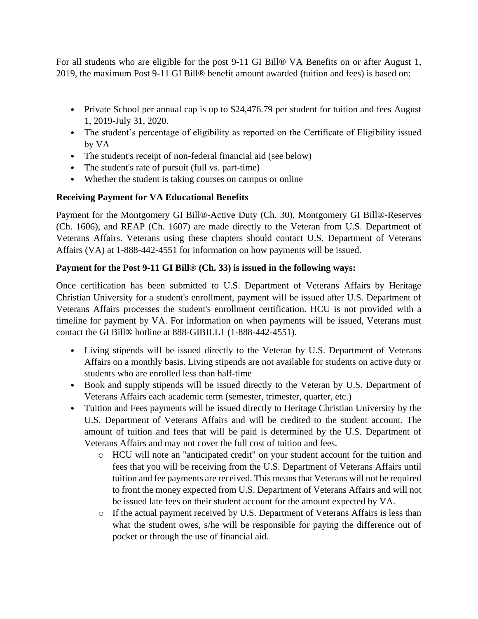For all students who are eligible for the post 9-11 GI Bill® VA Benefits on or after August 1, 2019, the maximum Post 9-11 GI Bill® benefit amount awarded (tuition and fees) is based on:

- Private School per annual cap is up to \$24,476.79 per student for tuition and fees August 1, 2019-July 31, 2020.
- The student's percentage of eligibility as reported on the Certificate of Eligibility issued by VA
- The student's receipt of non-federal financial aid (see below)
- The student's rate of pursuit (full vs. part-time)
- Whether the student is taking courses on campus or online

### **Receiving Payment for VA Educational Benefits**

Payment for the Montgomery GI Bill®-Active Duty (Ch. 30), Montgomery GI Bill®-Reserves (Ch. 1606), and REAP (Ch. 1607) are made directly to the Veteran from U.S. Department of Veterans Affairs. Veterans using these chapters should contact U.S. Department of Veterans Affairs (VA) at 1-888-442-4551 for information on how payments will be issued.

### **Payment for the Post 9-11 GI Bill® (Ch. 33) is issued in the following ways:**

Once certification has been submitted to U.S. Department of Veterans Affairs by Heritage Christian University for a student's enrollment, payment will be issued after U.S. Department of Veterans Affairs processes the student's enrollment certification. HCU is not provided with a timeline for payment by VA. For information on when payments will be issued, Veterans must contact the GI Bill® hotline at 888-GIBILL1 (1-888-442-4551).

- Living stipends will be issued directly to the Veteran by U.S. Department of Veterans Affairs on a monthly basis. Living stipends are not available for students on active duty or students who are enrolled less than half-time
- Book and supply stipends will be issued directly to the Veteran by U.S. Department of Veterans Affairs each academic term (semester, trimester, quarter, etc.)
- Tuition and Fees payments will be issued directly to Heritage Christian University by the U.S. Department of Veterans Affairs and will be credited to the student account. The amount of tuition and fees that will be paid is determined by the U.S. Department of Veterans Affairs and may not cover the full cost of tuition and fees.
	- o HCU will note an "anticipated credit" on your student account for the tuition and fees that you will be receiving from the U.S. Department of Veterans Affairs until tuition and fee payments are received. This means that Veterans will not be required to front the money expected from U.S. Department of Veterans Affairs and will not be issued late fees on their student account for the amount expected by VA.
	- o If the actual payment received by U.S. Department of Veterans Affairs is less than what the student owes, s/he will be responsible for paying the difference out of pocket or through the use of financial aid.